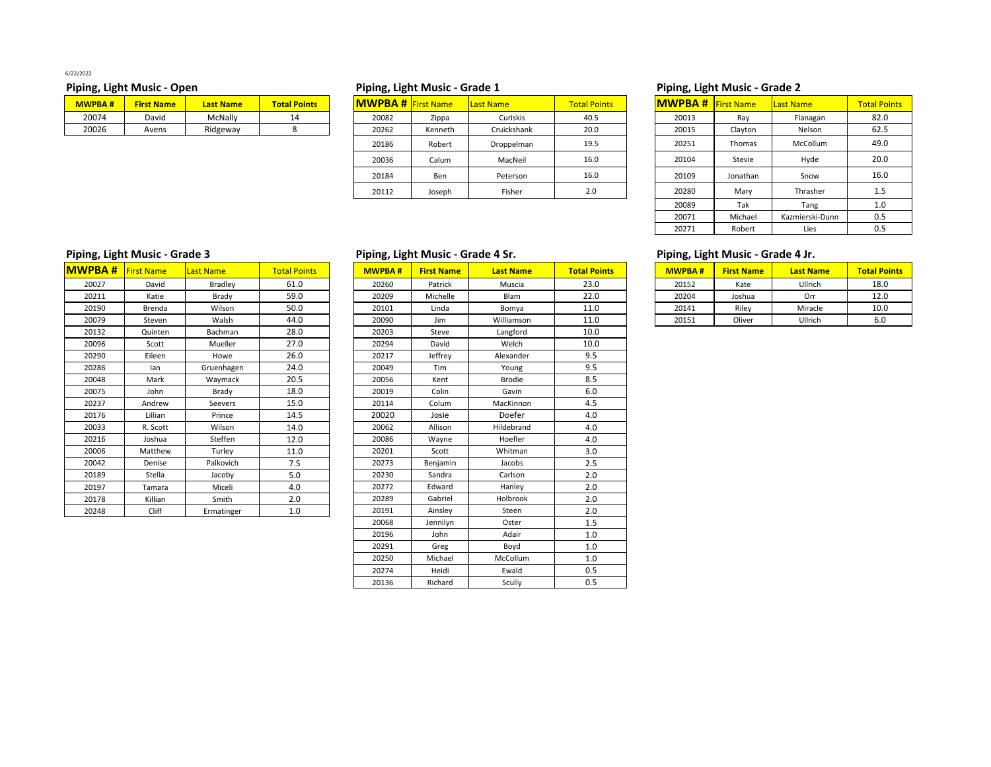6/22/2022

| <b>MWPBA#</b> | <b>First Name</b> | <b>Last Name</b> | <b>Total Points</b> |  |  |
|---------------|-------------------|------------------|---------------------|--|--|
| 20074         | David             | McNally          | 14                  |  |  |
| 20026         | Avens             | Ridgeway         | 8                   |  |  |

## **Piping, Light Music ‐ Open Piping, Light Music ‐ Grade 1 Piping, Light Music ‐ Grade 2**

| <b>MWPBA#</b> | <b>First Name</b> | <b>Last Name</b> | <b>Total Points</b> | <b>MWPBA # First Name</b> |         | Last Name   | <b>Total Points</b> | <b>MWPBA # First Name</b> |          | Last Name | <b>Total Points</b> |
|---------------|-------------------|------------------|---------------------|---------------------------|---------|-------------|---------------------|---------------------------|----------|-----------|---------------------|
| 20074         | David             | McNally          | 14                  | 20082                     | Zippa   | Curiskis    | 40.5                | 20013                     | Ray      | Flanagan  | 82.0                |
| 20026         | Avens             | Ridgeway         |                     | 20262                     | Kenneth | Cruickshank | 20.0                | 20015                     | Clayton  | Nelson    | 62.5                |
|               |                   |                  |                     | 20186                     | Robert  | Droppelman  | 19.5                | 20251                     | Thomas   | McCollum  | 49.0                |
|               |                   |                  |                     | 20036                     | Calum   | MacNeil     | 16.0                | 20104                     | Stevie   | Hyde      | 20.0                |
|               |                   |                  |                     | 20184                     | Ben     | Peterson    | 16.0                | 20109                     | Jonathan | Snow      | 16.0                |
|               |                   |                  |                     | 20112                     | Joseph  | Fisher      | 2.0                 | 20280                     | Mary     | Thrasher  |                     |

| ້             |                   |                  |                     |
|---------------|-------------------|------------------|---------------------|
| <b>MWPBA#</b> | <b>First Name</b> | <b>Last Name</b> | <b>Total Points</b> |
| 20013         | Ray               | Flanagan         | 82.0                |
| 20015         | Clayton           | Nelson           | 62.5                |
| 20251         | <b>Thomas</b>     | McCollum         | 49.0                |
| 20104         | Stevie            | Hyde             | 20.0                |
| 20109         | Jonathan          | Snow             | 16.0                |
| 20280         | Mary              | Thrasher         | 1.5                 |
| 20089         | Tak               | Tang             | 1.0                 |
| 20071         | Michael           | Kazmierski-Dunn  | 0.5                 |
| 20271         | Robert            | Lies             | 0.5                 |

| <b>MWPBA#</b> | <b>First Name</b> | <b>Last Name</b> | <b>Total Points</b> |
|---------------|-------------------|------------------|---------------------|
| 20027         | David             | <b>Bradley</b>   | 61.0                |
| 20211         | Katie             | Brady            | 59.0                |
| 20190         | Brenda            | Wilson           | 50.0                |
| 20079         | Steven            | Walsh            | 44.0                |
| 20132         | Quinten           | Bachman          | 28.0                |
| 20096         | Scott             | Mueller          | 27.0                |
| 20290         | Eileen            | Howe             | 26.0                |
| 20286         | lan               | Gruenhagen       | 24.0                |
| 20048         | Mark              | Waymack          | 20.5                |
| 20075         | John              | Brady            | 18.0                |
| 20237         | Andrew            | Seevers          | 15.0                |
| 20176         | Lillian           | Prince           | 14.5                |
| 20033         | R. Scott          | Wilson           | 14.0                |
| 20216         | Joshua            | Steffen          | 12.0                |
| 20006         | Matthew           | Turley           | 11.0                |
| 20042         | Denise            | Palkovich        | 7.5                 |
| 20189         | Stella            | Jacoby           | 5.0                 |
| 20197         | Tamara            | Miceli           | 4.0                 |
| 20178         | Killian           | Smith            | 2.0                 |
| 20248         | Cliff             | Ermatinger       | 1.0                 |

# **Piping, Light Music ‐ Grade 3 Piping, Light Music ‐ Grade 4 Sr. Piping, Light Music ‐ Grade 4 Jr.**

| 20260<br>23.0<br>Ullrich<br>David<br>Bradley<br>61.0<br>Patrick<br>Muscia<br>20152<br>18.0<br>Kate<br>59.0<br>22.0<br>Brady<br>20209<br>Michelle<br><b>Blam</b><br>12.0<br>Katie<br>20204<br>Joshua<br>Orr<br>50.0<br>20101<br>Riley<br>Linda<br>11.0<br>20141<br>Miracle<br>Wilson<br>Bomya<br>10.0<br>Brenda<br>44.0<br>11.0<br>6.0<br>Walsh<br>20090<br>Williamson<br>20151<br>Ullrich<br>Jim<br>Oliver<br>Steven<br>20203<br>Bachman<br>28.0<br>Steve<br>Langford<br>10.0<br>Quinten<br>27.0<br>20294<br>David<br>Welch<br>10.0<br>Mueller<br>Scott<br>9.5<br>26.0<br>Jeffrey<br>Alexander<br>Howe<br>20217<br>Eileen<br>9.5<br>24.0<br>20049<br>Gruenhagen<br>Tim<br>Young<br>lan<br>20.5<br>8.5<br>Mark<br>Waymack<br>20056<br>Brodie<br>Kent<br>6.0<br>18.0<br>Brady<br>20019<br>Colin<br>Gavin<br>John<br>15.0<br>20114<br>Colum<br>MacKinnon<br>4.5<br>Andrew<br>Seevers<br>Doefer<br>14.5<br>20020<br>4.0<br>Lillian<br>Prince<br>Josie<br>Hildebrand<br>Wilson<br>20062<br>4.0<br>R. Scott<br>14.0<br>Allison<br>Hoefler<br>12.0<br>20086<br>4.0<br>Steffen<br>Wayne<br>Joshua<br>3.0<br>11.0<br>Matthew<br>Turley<br>20201<br>Whitman<br>Scott<br>7.5<br>20273<br>2.5<br>Palkovich<br>Benjamin<br>Jacobs<br>Denise<br>2.0<br>5.0<br>Stella<br>Jacoby<br>20230<br>Sandra<br>Carlson<br>20272<br>2.0<br>Miceli<br>4.0<br>Edward<br>Hanley<br>Tamara<br>2.0<br>2.0<br>20289<br>Gabriel<br>Holbrook<br>Killian<br>Smith<br>Cliff<br>1.0<br>2.0<br>20191<br>Ermatinger<br>Ainsley<br>Steen<br>20068<br>1.5<br>Jennilyn<br>Oster<br>1.0<br>20196<br>Adair<br>John<br>20291<br>1.0<br>Greg<br>Boyd<br>20250<br>Michael<br>McCollum<br>1.0<br>0.5<br>Heidi<br>Ewald<br>20274<br>20136<br>0.5<br>Richard<br>Scully |       | <b>/PBA #</b> First Name | Last Name | <b>Total Points</b> | <b>MWPBA#</b> | <b>First Name</b> | <b>Last Name</b> | <b>Total Points</b> | <b>MWPBA#</b> | <b>First Name</b> | <b>Last Name</b> | <b>Total Points</b> |
|-----------------------------------------------------------------------------------------------------------------------------------------------------------------------------------------------------------------------------------------------------------------------------------------------------------------------------------------------------------------------------------------------------------------------------------------------------------------------------------------------------------------------------------------------------------------------------------------------------------------------------------------------------------------------------------------------------------------------------------------------------------------------------------------------------------------------------------------------------------------------------------------------------------------------------------------------------------------------------------------------------------------------------------------------------------------------------------------------------------------------------------------------------------------------------------------------------------------------------------------------------------------------------------------------------------------------------------------------------------------------------------------------------------------------------------------------------------------------------------------------------------------------------------------------------------------------------------------------------------------------------------------------------------------------------------------------------------------------|-------|--------------------------|-----------|---------------------|---------------|-------------------|------------------|---------------------|---------------|-------------------|------------------|---------------------|
|                                                                                                                                                                                                                                                                                                                                                                                                                                                                                                                                                                                                                                                                                                                                                                                                                                                                                                                                                                                                                                                                                                                                                                                                                                                                                                                                                                                                                                                                                                                                                                                                                                                                                                                       | 20027 |                          |           |                     |               |                   |                  |                     |               |                   |                  |                     |
|                                                                                                                                                                                                                                                                                                                                                                                                                                                                                                                                                                                                                                                                                                                                                                                                                                                                                                                                                                                                                                                                                                                                                                                                                                                                                                                                                                                                                                                                                                                                                                                                                                                                                                                       | 20211 |                          |           |                     |               |                   |                  |                     |               |                   |                  |                     |
|                                                                                                                                                                                                                                                                                                                                                                                                                                                                                                                                                                                                                                                                                                                                                                                                                                                                                                                                                                                                                                                                                                                                                                                                                                                                                                                                                                                                                                                                                                                                                                                                                                                                                                                       | 20190 |                          |           |                     |               |                   |                  |                     |               |                   |                  |                     |
|                                                                                                                                                                                                                                                                                                                                                                                                                                                                                                                                                                                                                                                                                                                                                                                                                                                                                                                                                                                                                                                                                                                                                                                                                                                                                                                                                                                                                                                                                                                                                                                                                                                                                                                       | 20079 |                          |           |                     |               |                   |                  |                     |               |                   |                  |                     |
|                                                                                                                                                                                                                                                                                                                                                                                                                                                                                                                                                                                                                                                                                                                                                                                                                                                                                                                                                                                                                                                                                                                                                                                                                                                                                                                                                                                                                                                                                                                                                                                                                                                                                                                       | 20132 |                          |           |                     |               |                   |                  |                     |               |                   |                  |                     |
|                                                                                                                                                                                                                                                                                                                                                                                                                                                                                                                                                                                                                                                                                                                                                                                                                                                                                                                                                                                                                                                                                                                                                                                                                                                                                                                                                                                                                                                                                                                                                                                                                                                                                                                       | 20096 |                          |           |                     |               |                   |                  |                     |               |                   |                  |                     |
|                                                                                                                                                                                                                                                                                                                                                                                                                                                                                                                                                                                                                                                                                                                                                                                                                                                                                                                                                                                                                                                                                                                                                                                                                                                                                                                                                                                                                                                                                                                                                                                                                                                                                                                       | 20290 |                          |           |                     |               |                   |                  |                     |               |                   |                  |                     |
|                                                                                                                                                                                                                                                                                                                                                                                                                                                                                                                                                                                                                                                                                                                                                                                                                                                                                                                                                                                                                                                                                                                                                                                                                                                                                                                                                                                                                                                                                                                                                                                                                                                                                                                       | 20286 |                          |           |                     |               |                   |                  |                     |               |                   |                  |                     |
|                                                                                                                                                                                                                                                                                                                                                                                                                                                                                                                                                                                                                                                                                                                                                                                                                                                                                                                                                                                                                                                                                                                                                                                                                                                                                                                                                                                                                                                                                                                                                                                                                                                                                                                       | 20048 |                          |           |                     |               |                   |                  |                     |               |                   |                  |                     |
|                                                                                                                                                                                                                                                                                                                                                                                                                                                                                                                                                                                                                                                                                                                                                                                                                                                                                                                                                                                                                                                                                                                                                                                                                                                                                                                                                                                                                                                                                                                                                                                                                                                                                                                       | 20075 |                          |           |                     |               |                   |                  |                     |               |                   |                  |                     |
|                                                                                                                                                                                                                                                                                                                                                                                                                                                                                                                                                                                                                                                                                                                                                                                                                                                                                                                                                                                                                                                                                                                                                                                                                                                                                                                                                                                                                                                                                                                                                                                                                                                                                                                       | 20237 |                          |           |                     |               |                   |                  |                     |               |                   |                  |                     |
|                                                                                                                                                                                                                                                                                                                                                                                                                                                                                                                                                                                                                                                                                                                                                                                                                                                                                                                                                                                                                                                                                                                                                                                                                                                                                                                                                                                                                                                                                                                                                                                                                                                                                                                       | 20176 |                          |           |                     |               |                   |                  |                     |               |                   |                  |                     |
|                                                                                                                                                                                                                                                                                                                                                                                                                                                                                                                                                                                                                                                                                                                                                                                                                                                                                                                                                                                                                                                                                                                                                                                                                                                                                                                                                                                                                                                                                                                                                                                                                                                                                                                       | 20033 |                          |           |                     |               |                   |                  |                     |               |                   |                  |                     |
|                                                                                                                                                                                                                                                                                                                                                                                                                                                                                                                                                                                                                                                                                                                                                                                                                                                                                                                                                                                                                                                                                                                                                                                                                                                                                                                                                                                                                                                                                                                                                                                                                                                                                                                       | 20216 |                          |           |                     |               |                   |                  |                     |               |                   |                  |                     |
|                                                                                                                                                                                                                                                                                                                                                                                                                                                                                                                                                                                                                                                                                                                                                                                                                                                                                                                                                                                                                                                                                                                                                                                                                                                                                                                                                                                                                                                                                                                                                                                                                                                                                                                       | 20006 |                          |           |                     |               |                   |                  |                     |               |                   |                  |                     |
|                                                                                                                                                                                                                                                                                                                                                                                                                                                                                                                                                                                                                                                                                                                                                                                                                                                                                                                                                                                                                                                                                                                                                                                                                                                                                                                                                                                                                                                                                                                                                                                                                                                                                                                       | 20042 |                          |           |                     |               |                   |                  |                     |               |                   |                  |                     |
|                                                                                                                                                                                                                                                                                                                                                                                                                                                                                                                                                                                                                                                                                                                                                                                                                                                                                                                                                                                                                                                                                                                                                                                                                                                                                                                                                                                                                                                                                                                                                                                                                                                                                                                       | 20189 |                          |           |                     |               |                   |                  |                     |               |                   |                  |                     |
|                                                                                                                                                                                                                                                                                                                                                                                                                                                                                                                                                                                                                                                                                                                                                                                                                                                                                                                                                                                                                                                                                                                                                                                                                                                                                                                                                                                                                                                                                                                                                                                                                                                                                                                       | 20197 |                          |           |                     |               |                   |                  |                     |               |                   |                  |                     |
|                                                                                                                                                                                                                                                                                                                                                                                                                                                                                                                                                                                                                                                                                                                                                                                                                                                                                                                                                                                                                                                                                                                                                                                                                                                                                                                                                                                                                                                                                                                                                                                                                                                                                                                       | 20178 |                          |           |                     |               |                   |                  |                     |               |                   |                  |                     |
|                                                                                                                                                                                                                                                                                                                                                                                                                                                                                                                                                                                                                                                                                                                                                                                                                                                                                                                                                                                                                                                                                                                                                                                                                                                                                                                                                                                                                                                                                                                                                                                                                                                                                                                       | 20248 |                          |           |                     |               |                   |                  |                     |               |                   |                  |                     |
|                                                                                                                                                                                                                                                                                                                                                                                                                                                                                                                                                                                                                                                                                                                                                                                                                                                                                                                                                                                                                                                                                                                                                                                                                                                                                                                                                                                                                                                                                                                                                                                                                                                                                                                       |       |                          |           |                     |               |                   |                  |                     |               |                   |                  |                     |
|                                                                                                                                                                                                                                                                                                                                                                                                                                                                                                                                                                                                                                                                                                                                                                                                                                                                                                                                                                                                                                                                                                                                                                                                                                                                                                                                                                                                                                                                                                                                                                                                                                                                                                                       |       |                          |           |                     |               |                   |                  |                     |               |                   |                  |                     |
|                                                                                                                                                                                                                                                                                                                                                                                                                                                                                                                                                                                                                                                                                                                                                                                                                                                                                                                                                                                                                                                                                                                                                                                                                                                                                                                                                                                                                                                                                                                                                                                                                                                                                                                       |       |                          |           |                     |               |                   |                  |                     |               |                   |                  |                     |
|                                                                                                                                                                                                                                                                                                                                                                                                                                                                                                                                                                                                                                                                                                                                                                                                                                                                                                                                                                                                                                                                                                                                                                                                                                                                                                                                                                                                                                                                                                                                                                                                                                                                                                                       |       |                          |           |                     |               |                   |                  |                     |               |                   |                  |                     |
|                                                                                                                                                                                                                                                                                                                                                                                                                                                                                                                                                                                                                                                                                                                                                                                                                                                                                                                                                                                                                                                                                                                                                                                                                                                                                                                                                                                                                                                                                                                                                                                                                                                                                                                       |       |                          |           |                     |               |                   |                  |                     |               |                   |                  |                     |
|                                                                                                                                                                                                                                                                                                                                                                                                                                                                                                                                                                                                                                                                                                                                                                                                                                                                                                                                                                                                                                                                                                                                                                                                                                                                                                                                                                                                                                                                                                                                                                                                                                                                                                                       |       |                          |           |                     |               |                   |                  |                     |               |                   |                  |                     |

| <b>MWPBA#</b> | <b>First Name</b> | <b>Last Name</b> |      |  |  |  |
|---------------|-------------------|------------------|------|--|--|--|
| 20152         | Kate              | Ullrich          | 18.0 |  |  |  |
| 20204         | Joshua            | Orr              | 12.0 |  |  |  |
| 20141         | Rilev             | Miracle          | 10.0 |  |  |  |
| 20151         | Oliver            | Ullrich          | 6.0  |  |  |  |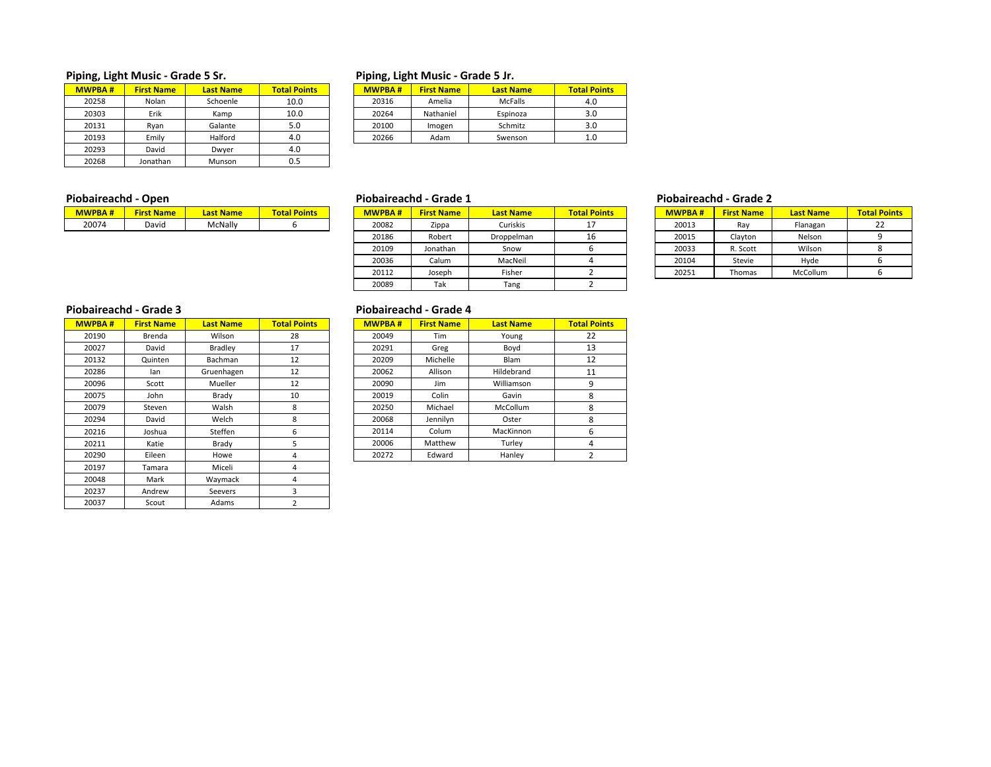# **Piping, Light Music ‐ Grade 5 Sr. Piping, Light Music ‐ Grade 5 Jr.**

| <b>MWPBA#</b> | <b>First Name</b> | <b>Last Name</b> | <b>Total Points</b> |
|---------------|-------------------|------------------|---------------------|
| 20258         | Nolan             | Schoenle         | 10.0                |
| 20303         | Erik              | Kamp             | 10.0                |
| 20131         | Ryan              | 5.0              |                     |
| 20193         | Emily             | Halford          | 4.0                 |
| 20293         | David             | Dwyer            | 4.0                 |
| 20268         | Jonathan          | Munson           | 0.5                 |

| WPBA# | <b>First Name</b> | <b>Last Name</b> | <b>Total Points</b> | <b>MWPBA#</b> | <b>First Name</b> | <b>Last Name</b> | <b>Total Points</b> |
|-------|-------------------|------------------|---------------------|---------------|-------------------|------------------|---------------------|
| 20258 | Nolan             | Schoenle         | 10.0                | 20316         | Amelia            | McFalls          | 4.0                 |
| 20303 | Erik              | Kamp             | 10.0                | 20264         | Nathaniel         | Espinoza         | 3.0                 |
| 20131 | Rvan              | Galante          | 5.0                 | 20100         | Imogen            | Schmitz          | 3.0                 |
| 20193 | Emilv             | Halford          | 4.0                 | 20266         | Adam              | Swenson          | 1.0                 |

| - - - - -     |                   |                  |                     |  |  |  |  |  |  |  |
|---------------|-------------------|------------------|---------------------|--|--|--|--|--|--|--|
| <b>MWPBA#</b> | <b>First Name</b> | <b>Last Name</b> | <b>Total Points</b> |  |  |  |  |  |  |  |
| 20074         | David             | McNally          |                     |  |  |  |  |  |  |  |

| ----------<br>- - - - - |                   |                  |                     |  | - - - - - - - - - - - - - - - |                   |                  |                     | .             |                   |                  |                     |  |
|-------------------------|-------------------|------------------|---------------------|--|-------------------------------|-------------------|------------------|---------------------|---------------|-------------------|------------------|---------------------|--|
| <b>WPBA#</b>            | <b>First Name</b> | <b>Last Name</b> | <b>Total Points</b> |  | <b>MWPBA#</b>                 | <b>First Name</b> | <b>Last Name</b> | <b>Total Points</b> | <b>MWPBA#</b> | <b>First Name</b> | <b>Last Name</b> | <b>Total Points</b> |  |
| 20074                   | David             | McNally          |                     |  | 20082                         | Zippa             | Curiskis         |                     | 20013         | Ray               | Flanagan         | ᅩ                   |  |
|                         |                   |                  |                     |  | 20186                         | Robert            | Droppelman       | 16                  | 20015         | Clayton           | Nelson           |                     |  |
|                         |                   |                  |                     |  | 20109                         | Jonathan          | Snow             |                     | 20033         | R. Scott          | Wilson           |                     |  |
|                         |                   |                  |                     |  | 20036                         | Calum             | MacNeil          |                     | 20104         | Stevie            | Hyde             |                     |  |
|                         |                   |                  |                     |  | 20112                         | Joseph            | Fisher           |                     | 20251         | Thomas            | McCollum         |                     |  |
|                         |                   |                  |                     |  | 20089                         | Tak               | Tang             |                     |               |                   |                  |                     |  |

### **Piobaireachd ‐ Open Piobaireachd ‐ Grade 1 Piobaireachd ‐ Grade 2**

| .             |                   |                  |                     |  |  |  |  |  |  |  |  |
|---------------|-------------------|------------------|---------------------|--|--|--|--|--|--|--|--|
| <b>MWPBA#</b> | <b>First Name</b> | <b>Last Name</b> | <b>Total Points</b> |  |  |  |  |  |  |  |  |
| 20013         | Ray               | Flanagan         | 22                  |  |  |  |  |  |  |  |  |
| 20015         | Clayton           | Nelson           |                     |  |  |  |  |  |  |  |  |
| 20033         | R. Scott          | Wilson           |                     |  |  |  |  |  |  |  |  |
| 20104         | Stevie            | Hyde             |                     |  |  |  |  |  |  |  |  |
| 20251         | Thomas            | McCollum         |                     |  |  |  |  |  |  |  |  |

# **Piobaireachd ‐ Grade 3**

| <b>MWPBA#</b> | <b>First Name</b> | <b>Last Name</b> | <b>Total Points</b> |
|---------------|-------------------|------------------|---------------------|
| 20190         | Brenda            | Wilson           | 28                  |
| 20027         | David             | <b>Bradley</b>   | 17                  |
| 20132         | Quinten           | Bachman          | 12                  |
| 20286         | lan               | Gruenhagen       | 12                  |
| 20096         | Scott             | Mueller          | 12                  |
| 20075         | John              | Brady            | 10                  |
| 20079         | Steven            | Walsh            | 8                   |
| 20294         | David             | Welch            | 8                   |
| 20216         | Joshua            | Steffen          | 6                   |
| 20211         | Katie             | Brady            | 5                   |
| 20290         | Eileen            | Howe             | 4                   |
| 20197         | Tamara            | Miceli           | 4                   |
| 20048         | Mark              | Waymack          | 4                   |
| 20237         | Andrew            | Seevers          | 3                   |
| 20037         | Scout             | Adams            | $\overline{2}$      |

## **Piobaireachd ‐ Grade 4**

| WPBA# | <b>First Name</b> | <b>Last Name</b> | <b>Total Points</b> |
|-------|-------------------|------------------|---------------------|
| 20190 | Brenda            | Wilson           | 28                  |
| 20027 | David             | Bradley          | 17                  |
| 20132 | Quinten           | Bachman          | 12                  |
| 20286 | lan               | Gruenhagen       | 12                  |
| 20096 | Scott             | Mueller          | 12                  |
| 20075 | John              | Brady            | 10                  |
| 20079 | Steven            | Walsh            | 8                   |
| 20294 | David             | Welch            | 8                   |
| 20216 | Joshua            | Steffen          | 6                   |
| 20211 | Katie             | Brady            | 5                   |
| 20290 | Eileen            | Howe             | 4                   |
|       |                   |                  |                     |